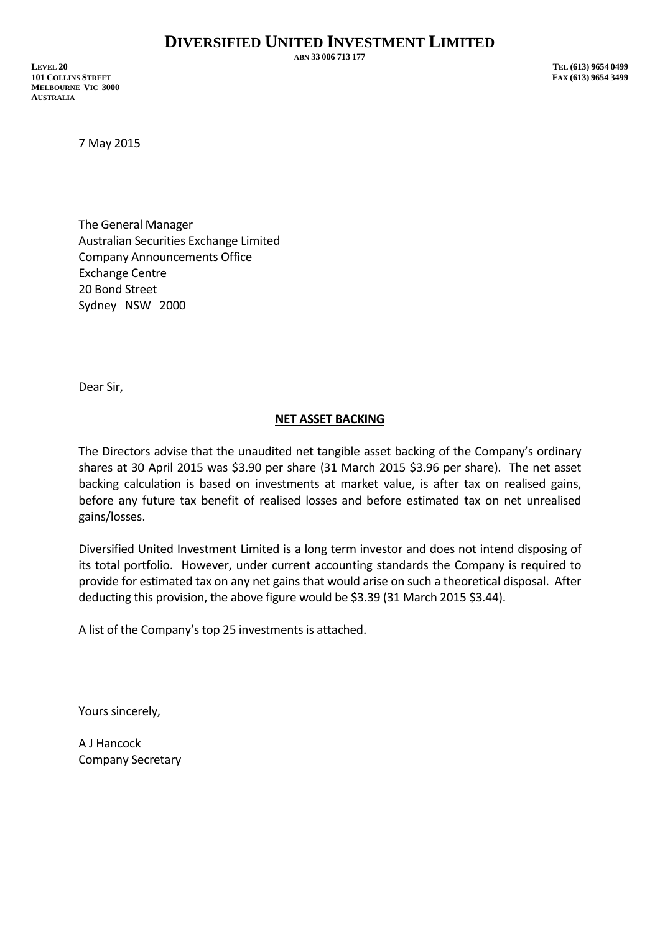**ABN 33 006 713 177**

**LEVEL 20 TEL (613) 9654 0499 101 COLLINS STREET FAX (613) 9654 3499 MELBOURNE VIC 3000 AUSTRALIA**

7 May 2015

The General Manager Australian Securities Exchange Limited Company Announcements Office Exchange Centre 20 Bond Street Sydney NSW 2000

Dear Sir,

## **NET ASSET BACKING**

The Directors advise that the unaudited net tangible asset backing of the Company's ordinary shares at 30 April 2015 was \$3.90 per share (31 March 2015 \$3.96 per share). The net asset backing calculation is based on investments at market value, is after tax on realised gains, before any future tax benefit of realised losses and before estimated tax on net unrealised gains/losses.

Diversified United Investment Limited is a long term investor and does not intend disposing of its total portfolio. However, under current accounting standards the Company is required to provide for estimated tax on any net gains that would arise on such a theoretical disposal. After deducting this provision, the above figure would be \$3.39 (31 March 2015 \$3.44).

A list of the Company's top 25 investments is attached.

Yours sincerely,

A J Hancock Company Secretary